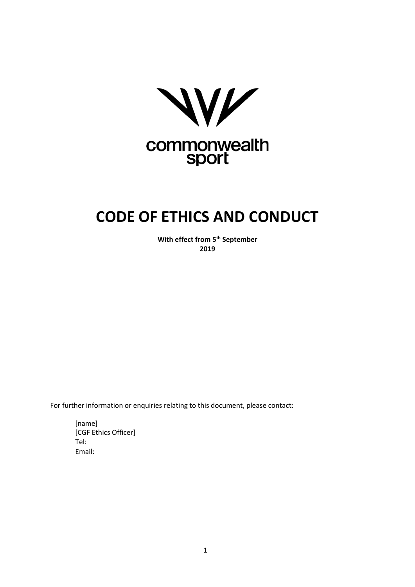

# **CODE OF ETHICS AND CONDUCT**

**With effect from 5th September 2019**

For further information or enquiries relating to this document, please contact:

[name] [CGF Ethics Officer] Tel: Email: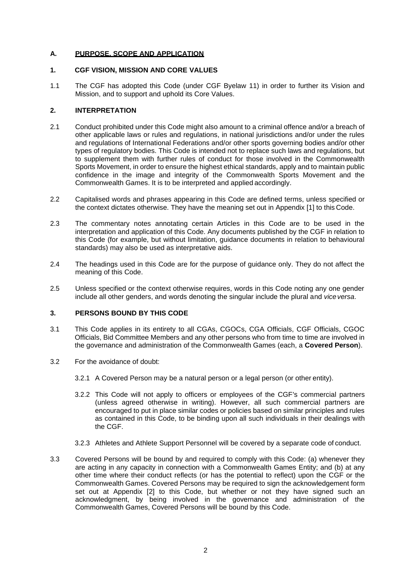## **A. PURPOSE, SCOPE AND APPLICATION**

#### **1. CGF VISION, MISSION AND CORE VALUES**

1.1 The CGF has adopted this Code (under CGF Byelaw 11) in order to further its Vision and Mission, and to support and uphold its Core Values.

#### **2. INTERPRETATION**

- 2.1 Conduct prohibited under this Code might also amount to a criminal offence and/or a breach of other applicable laws or rules and regulations, in national jurisdictions and/or under the rules and regulations of International Federations and/or other sports governing bodies and/or other types of regulatory bodies. This Code is intended not to replace such laws and regulations, but to supplement them with further rules of conduct for those involved in the Commonwealth Sports Movement, in order to ensure the highest ethical standards, apply and to maintain public confidence in the image and integrity of the Commonwealth Sports Movement and the Commonwealth Games. It is to be interpreted and applied accordingly.
- 2.2 Capitalised words and phrases appearing in this Code are defined terms, unless specified or the context dictates otherwise. They have the meaning set out in Appendix [1] to this Code.
- 2.3 The commentary notes annotating certain Articles in this Code are to be used in the interpretation and application of this Code. Any documents published by the CGF in relation to this Code (for example, but without limitation, guidance documents in relation to behavioural standards) may also be used as interpretative aids.
- 2.4 The headings used in this Code are for the purpose of guidance only. They do not affect the meaning of this Code.
- 2.5 Unless specified or the context otherwise requires, words in this Code noting any one gender include all other genders, and words denoting the singular include the plural and *viceversa*.

#### **3. PERSONS BOUND BY THIS CODE**

- 3.1 This Code applies in its entirety to all CGAs, CGOCs, CGA Officials, CGF Officials, CGOC Officials, Bid Committee Members and any other persons who from time to time are involved in the governance and administration of the Commonwealth Games (each, a **Covered Person**).
- 3.2 For the avoidance of doubt:
	- 3.2.1 A Covered Person may be a natural person or a legal person (or other entity).
	- 3.2.2 This Code will not apply to officers or employees of the CGF's commercial partners (unless agreed otherwise in writing). However, all such commercial partners are encouraged to put in place similar codes or policies based on similar principles and rules as contained in this Code, to be binding upon all such individuals in their dealings with the CGF.
	- 3.2.3 Athletes and Athlete Support Personnel will be covered by a separate code of conduct.
- 3.3 Covered Persons will be bound by and required to comply with this Code: (a) whenever they are acting in any capacity in connection with a Commonwealth Games Entity; and (b) at any other time where their conduct reflects (or has the potential to reflect) upon the CGF or the Commonwealth Games. Covered Persons may be required to sign the acknowledgement form set out at Appendix [2] to this Code, but whether or not they have signed such an acknowledgment, by being involved in the governance and administration of the Commonwealth Games, Covered Persons will be bound by this Code.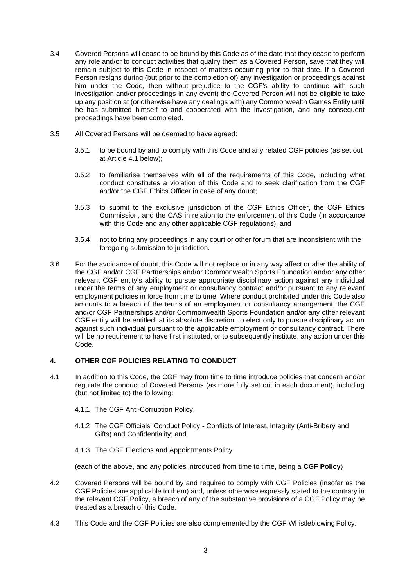- 3.4 Covered Persons will cease to be bound by this Code as of the date that they cease to perform any role and/or to conduct activities that qualify them as a Covered Person, save that they will remain subject to this Code in respect of matters occurring prior to that date. If a Covered Person resigns during (but prior to the completion of) any investigation or proceedings against him under the Code, then without prejudice to the CGF's ability to continue with such investigation and/or proceedings in any event) the Covered Person will not be eligible to take up any position at (or otherwise have any dealings with) any Commonwealth Games Entity until he has submitted himself to and cooperated with the investigation, and any consequent proceedings have been completed.
- 3.5 All Covered Persons will be deemed to have agreed:
	- 3.5.1 to be bound by and to comply with this Code and any related CGF policies (as set out at Article 4.1 below);
	- 3.5.2 to familiarise themselves with all of the requirements of this Code, including what conduct constitutes a violation of this Code and to seek clarification from the CGF and/or the CGF Ethics Officer in case of any doubt;
	- 3.5.3 to submit to the exclusive jurisdiction of the CGF Ethics Officer, the CGF Ethics Commission, and the CAS in relation to the enforcement of this Code (in accordance with this Code and any other applicable CGF regulations); and
	- 3.5.4 not to bring any proceedings in any court or other forum that are inconsistent with the foregoing submission to jurisdiction.
- 3.6 For the avoidance of doubt, this Code will not replace or in any way affect or alter the ability of the CGF and/or CGF Partnerships and/or Commonwealth Sports Foundation and/or any other relevant CGF entity's ability to pursue appropriate disciplinary action against any individual under the terms of any employment or consultancy contract and/or pursuant to any relevant employment policies in force from time to time. Where conduct prohibited under this Code also amounts to a breach of the terms of an employment or consultancy arrangement, the CGF and/or CGF Partnerships and/or Commonwealth Sports Foundation and/or any other relevant CGF entity will be entitled, at its absolute discretion, to elect only to pursue disciplinary action against such individual pursuant to the applicable employment or consultancy contract. There will be no requirement to have first instituted, or to subsequently institute, any action under this Code.

## **4. OTHER CGF POLICIES RELATING TO CONDUCT**

- 4.1 In addition to this Code, the CGF may from time to time introduce policies that concern and/or regulate the conduct of Covered Persons (as more fully set out in each document), including (but not limited to) the following:
	- 4.1.1 The CGF Anti-Corruption Policy,
	- 4.1.2 The CGF Officials' Conduct Policy Conflicts of Interest, Integrity (Anti-Bribery and Gifts) and Confidentiality; and
	- 4.1.3 The CGF Elections and Appointments Policy

(each of the above, and any policies introduced from time to time, being a **CGF Policy**)

- 4.2 Covered Persons will be bound by and required to comply with CGF Policies (insofar as the CGF Policies are applicable to them) and, unless otherwise expressly stated to the contrary in the relevant CGF Policy, a breach of any of the substantive provisions of a CGF Policy may be treated as a breach of this Code.
- 4.3 This Code and the CGF Policies are also complemented by the CGF Whistleblowing Policy.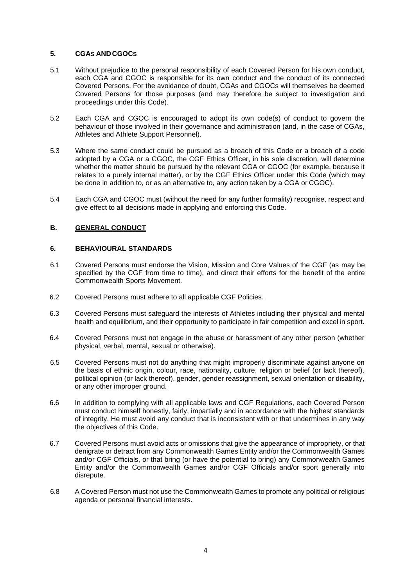#### **5. CGAS AND CGOCS**

- 5.1 Without prejudice to the personal responsibility of each Covered Person for his own conduct, each CGA and CGOC is responsible for its own conduct and the conduct of its connected Covered Persons. For the avoidance of doubt, CGAs and CGOCs will themselves be deemed Covered Persons for those purposes (and may therefore be subject to investigation and proceedings under this Code).
- 5.2 Each CGA and CGOC is encouraged to adopt its own code(s) of conduct to govern the behaviour of those involved in their governance and administration (and, in the case of CGAs, Athletes and Athlete Support Personnel).
- 5.3 Where the same conduct could be pursued as a breach of this Code or a breach of a code adopted by a CGA or a CGOC, the CGF Ethics Officer, in his sole discretion, will determine whether the matter should be pursued by the relevant CGA or CGOC (for example, because it relates to a purely internal matter), or by the CGF Ethics Officer under this Code (which may be done in addition to, or as an alternative to, any action taken by a CGA or CGOC).
- 5.4 Each CGA and CGOC must (without the need for any further formality) recognise, respect and give effect to all decisions made in applying and enforcing this Code.

## **B. GENERAL CONDUCT**

#### **6. BEHAVIOURAL STANDARDS**

- 6.1 Covered Persons must endorse the Vision, Mission and Core Values of the CGF (as may be specified by the CGF from time to time), and direct their efforts for the benefit of the entire Commonwealth Sports Movement.
- 6.2 Covered Persons must adhere to all applicable CGF Policies.
- 6.3 Covered Persons must safeguard the interests of Athletes including their physical and mental health and equilibrium, and their opportunity to participate in fair competition and excel in sport.
- 6.4 Covered Persons must not engage in the abuse or harassment of any other person (whether physical, verbal, mental, sexual or otherwise).
- 6.5 Covered Persons must not do anything that might improperly discriminate against anyone on the basis of ethnic origin, colour, race, nationality, culture, religion or belief (or lack thereof), political opinion (or lack thereof), gender, gender reassignment, sexual orientation or disability, or any other improper ground.
- 6.6 In addition to complying with all applicable laws and CGF Regulations, each Covered Person must conduct himself honestly, fairly, impartially and in accordance with the highest standards of integrity. He must avoid any conduct that is inconsistent with or that undermines in any way the objectives of this Code.
- 6.7 Covered Persons must avoid acts or omissions that give the appearance of impropriety, or that denigrate or detract from any Commonwealth Games Entity and/or the Commonwealth Games and/or CGF Officials, or that bring (or have the potential to bring) any Commonwealth Games Entity and/or the Commonwealth Games and/or CGF Officials and/or sport generally into disrepute.
- 6.8 A Covered Person must not use the Commonwealth Games to promote any political or religious agenda or personal financial interests.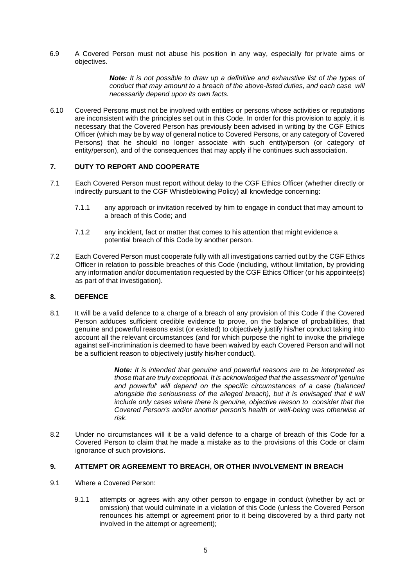6.9 A Covered Person must not abuse his position in any way, especially for private aims or objectives.

> *Note: It is not possible to draw up a definitive and exhaustive list of the types of conduct that may amount to a breach of the above-listed duties, and each case will necessarily depend upon its own facts.*

6.10 Covered Persons must not be involved with entities or persons whose activities or reputations are inconsistent with the principles set out in this Code. In order for this provision to apply, it is necessary that the Covered Person has previously been advised in writing by the CGF Ethics Officer (which may be by way of general notice to Covered Persons, or any category of Covered Persons) that he should no longer associate with such entity/person (or category of entity/person), and of the consequences that may apply if he continues such association.

# **7. DUTY TO REPORT AND COOPERATE**

- 7.1 Each Covered Person must report without delay to the CGF Ethics Officer (whether directly or indirectly pursuant to the CGF Whistleblowing Policy) all knowledge concerning:
	- 7.1.1 any approach or invitation received by him to engage in conduct that may amount to a breach of this Code; and
	- 7.1.2 any incident, fact or matter that comes to his attention that might evidence a potential breach of this Code by another person.
- 7.2 Each Covered Person must cooperate fully with all investigations carried out by the CGF Ethics Officer in relation to possible breaches of this Code (including, without limitation, by providing any information and/or documentation requested by the CGF Ethics Officer (or his appointee(s) as part of that investigation).

#### **8. DEFENCE**

8.1 It will be a valid defence to a charge of a breach of any provision of this Code if the Covered Person adduces sufficient credible evidence to prove, on the balance of probabilities, that genuine and powerful reasons exist (or existed) to objectively justify his/her conduct taking into account all the relevant circumstances (and for which purpose the right to invoke the privilege against self-incrimination is deemed to have been waived by each Covered Person and will not be a sufficient reason to objectively justify his/her conduct).

> *Note: It is intended that genuine and powerful reasons are to be interpreted as those that are truly exceptional. It is acknowledged that the assessment of 'genuine and powerful' will depend on the specific circumstances of a case (balanced*  alongside the seriousness of the alleged breach), but it is envisaged that it will *include only cases where there is genuine, objective reason to consider that the Covered Person's and/or another person's health or well-being was otherwise at risk.*

8.2 Under no circumstances will it be a valid defence to a charge of breach of this Code for a Covered Person to claim that he made a mistake as to the provisions of this Code or claim ignorance of such provisions.

## **9. ATTEMPT OR AGREEMENT TO BREACH, OR OTHER INVOLVEMENT IN BREACH**

- 9.1 Where a Covered Person:
	- 9.1.1 attempts or agrees with any other person to engage in conduct (whether by act or omission) that would culminate in a violation of this Code (unless the Covered Person renounces his attempt or agreement prior to it being discovered by a third party not involved in the attempt or agreement);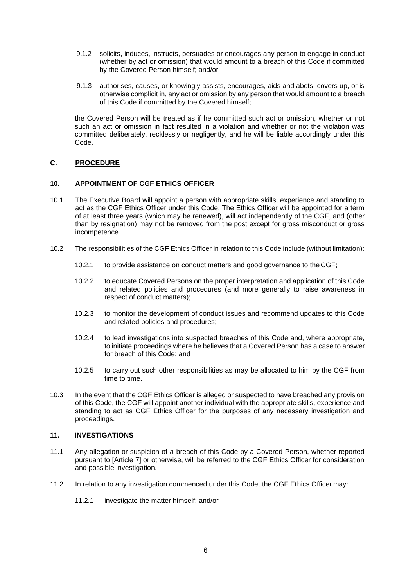- 9.1.2 solicits, induces, instructs, persuades or encourages any person to engage in conduct (whether by act or omission) that would amount to a breach of this Code if committed by the Covered Person himself; and/or
- 9.1.3 authorises, causes, or knowingly assists, encourages, aids and abets, covers up, or is otherwise complicit in, any act or omission by any person that would amount to a breach of this Code if committed by the Covered himself;

the Covered Person will be treated as if he committed such act or omission, whether or not such an act or omission in fact resulted in a violation and whether or not the violation was committed deliberately, recklessly or negligently, and he will be liable accordingly under this Code.

## **C. PROCEDURE**

#### **10. APPOINTMENT OF CGF ETHICS OFFICER**

- 10.1 The Executive Board will appoint a person with appropriate skills, experience and standing to act as the CGF Ethics Officer under this Code. The Ethics Officer will be appointed for a term of at least three years (which may be renewed), will act independently of the CGF, and (other than by resignation) may not be removed from the post except for gross misconduct or gross incompetence.
- 10.2 The responsibilities of the CGF Ethics Officer in relation to this Code include (without limitation):
	- 10.2.1 to provide assistance on conduct matters and good governance to the CGF;
	- 10.2.2 to educate Covered Persons on the proper interpretation and application of this Code and related policies and procedures (and more generally to raise awareness in respect of conduct matters);
	- 10.2.3 to monitor the development of conduct issues and recommend updates to this Code and related policies and procedures;
	- 10.2.4 to lead investigations into suspected breaches of this Code and, where appropriate, to initiate proceedings where he believes that a Covered Person has a case to answer for breach of this Code; and
	- 10.2.5 to carry out such other responsibilities as may be allocated to him by the CGF from time to time.
- 10.3 In the event that the CGF Ethics Officer is alleged or suspected to have breached any provision of this Code, the CGF will appoint another individual with the appropriate skills, experience and standing to act as CGF Ethics Officer for the purposes of any necessary investigation and proceedings.

#### **11. INVESTIGATIONS**

- 11.1 Any allegation or suspicion of a breach of this Code by a Covered Person, whether reported pursuant to [Article 7] or otherwise, will be referred to the CGF Ethics Officer for consideration and possible investigation.
- 11.2 In relation to any investigation commenced under this Code, the CGF Ethics Officer may:
	- 11.2.1 investigate the matter himself; and/or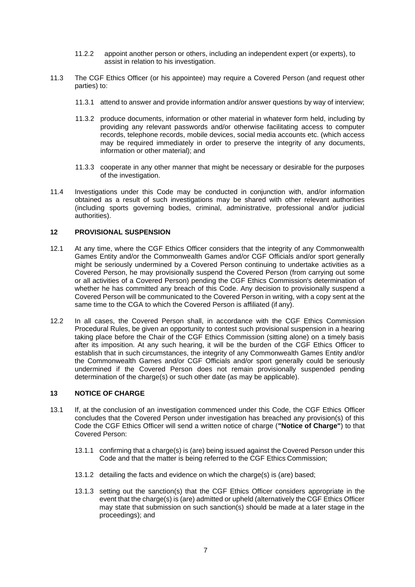- 11.2.2 appoint another person or others, including an independent expert (or experts), to assist in relation to his investigation.
- 11.3 The CGF Ethics Officer (or his appointee) may require a Covered Person (and request other parties) to:
	- 11.3.1 attend to answer and provide information and/or answer questions by way of interview;
	- 11.3.2 produce documents, information or other material in whatever form held, including by providing any relevant passwords and/or otherwise facilitating access to computer records, telephone records, mobile devices, social media accounts etc. (which access may be required immediately in order to preserve the integrity of any documents, information or other material); and
	- 11.3.3 cooperate in any other manner that might be necessary or desirable for the purposes of the investigation.
- 11.4 Investigations under this Code may be conducted in conjunction with, and/or information obtained as a result of such investigations may be shared with other relevant authorities (including sports governing bodies, criminal, administrative, professional and/or judicial authorities).

# **12 PROVISIONAL SUSPENSION**

- 12.1 At any time, where the CGF Ethics Officer considers that the integrity of any Commonwealth Games Entity and/or the Commonwealth Games and/or CGF Officials and/or sport generally might be seriously undermined by a Covered Person continuing to undertake activities as a Covered Person, he may provisionally suspend the Covered Person (from carrying out some or all activities of a Covered Person) pending the CGF Ethics Commission's determination of whether he has committed any breach of this Code. Any decision to provisionally suspend a Covered Person will be communicated to the Covered Person in writing, with a copy sent at the same time to the CGA to which the Covered Person is affiliated (if any).
- 12.2 In all cases, the Covered Person shall, in accordance with the CGF Ethics Commission Procedural Rules, be given an opportunity to contest such provisional suspension in a hearing taking place before the Chair of the CGF Ethics Commission (sitting alone) on a timely basis after its imposition. At any such hearing, it will be the burden of the CGF Ethics Officer to establish that in such circumstances, the integrity of any Commonwealth Games Entity and/or the Commonwealth Games and/or CGF Officials and/or sport generally could be seriously undermined if the Covered Person does not remain provisionally suspended pending determination of the charge(s) or such other date (as may be applicable).

## **13 NOTICE OF CHARGE**

- 13.1 If, at the conclusion of an investigation commenced under this Code, the CGF Ethics Officer concludes that the Covered Person under investigation has breached any provision(s) of this Code the CGF Ethics Officer will send a written notice of charge (**"Notice of Charge"**) to that Covered Person:
	- 13.1.1 confirming that a charge(s) is (are) being issued against the Covered Person under this Code and that the matter is being referred to the CGF Ethics Commission;
	- 13.1.2 detailing the facts and evidence on which the charge(s) is (are) based;
	- 13.1.3 setting out the sanction(s) that the CGF Ethics Officer considers appropriate in the event that the charge(s) is (are) admitted or upheld (alternatively the CGF Ethics Officer may state that submission on such sanction(s) should be made at a later stage in the proceedings); and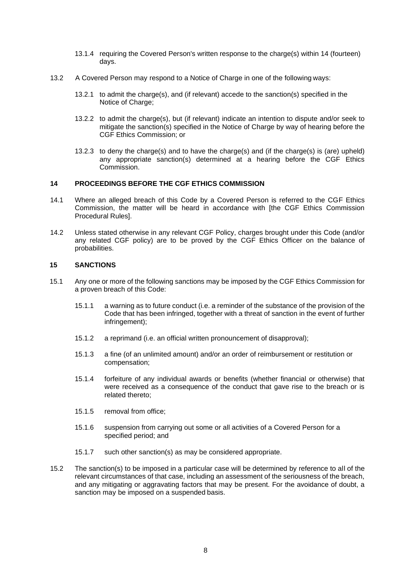- 13.1.4 requiring the Covered Person's written response to the charge(s) within 14 (fourteen) days.
- 13.2 A Covered Person may respond to a Notice of Charge in one of the following ways:
	- 13.2.1 to admit the charge(s), and (if relevant) accede to the sanction(s) specified in the Notice of Charge;
	- 13.2.2 to admit the charge(s), but (if relevant) indicate an intention to dispute and/or seek to mitigate the sanction(s) specified in the Notice of Charge by way of hearing before the CGF Ethics Commission; or
	- 13.2.3 to deny the charge(s) and to have the charge(s) and (if the charge(s) is (are) upheld) any appropriate sanction(s) determined at a hearing before the CGF Ethics Commission.

#### **14 PROCEEDINGS BEFORE THE CGF ETHICS COMMISSION**

- 14.1 Where an alleged breach of this Code by a Covered Person is referred to the CGF Ethics Commission, the matter will be heard in accordance with [the CGF Ethics Commission Procedural Rules].
- 14.2 Unless stated otherwise in any relevant CGF Policy, charges brought under this Code (and/or any related CGF policy) are to be proved by the CGF Ethics Officer on the balance of probabilities.

#### **15 SANCTIONS**

- 15.1 Any one or more of the following sanctions may be imposed by the CGF Ethics Commission for a proven breach of this Code:
	- 15.1.1 a warning as to future conduct (i.e. a reminder of the substance of the provision of the Code that has been infringed, together with a threat of sanction in the event of further infringement);
	- 15.1.2 a reprimand (i.e. an official written pronouncement of disapproval);
	- 15.1.3 a fine (of an unlimited amount) and/or an order of reimbursement or restitution or compensation;
	- 15.1.4 forfeiture of any individual awards or benefits (whether financial or otherwise) that were received as a consequence of the conduct that gave rise to the breach or is related thereto;
	- 15.1.5 removal from office;
	- 15.1.6 suspension from carrying out some or all activities of a Covered Person for a specified period; and
	- 15.1.7 such other sanction(s) as may be considered appropriate.
- 15.2 The sanction(s) to be imposed in a particular case will be determined by reference to all of the relevant circumstances of that case, including an assessment of the seriousness of the breach, and any mitigating or aggravating factors that may be present. For the avoidance of doubt, a sanction may be imposed on a suspended basis.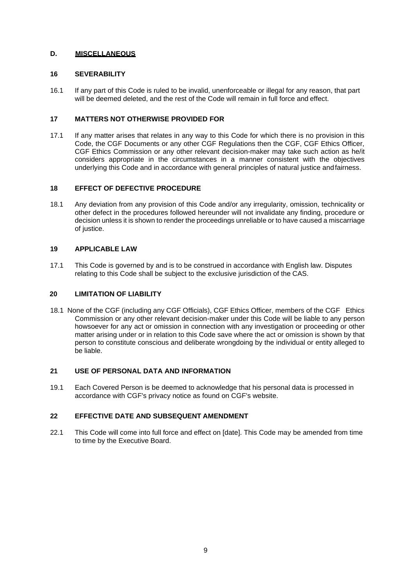# **D. MISCELLANEOUS**

## **16 SEVERABILITY**

16.1 If any part of this Code is ruled to be invalid, unenforceable or illegal for any reason, that part will be deemed deleted, and the rest of the Code will remain in full force and effect.

## **17 MATTERS NOT OTHERWISE PROVIDED FOR**

17.1 If any matter arises that relates in any way to this Code for which there is no provision in this Code, the CGF Documents or any other CGF Regulations then the CGF, CGF Ethics Officer, CGF Ethics Commission or any other relevant decision-maker may take such action as he/it considers appropriate in the circumstances in a manner consistent with the objectives underlying this Code and in accordance with general principles of natural justice andfairness.

# **18 EFFECT OF DEFECTIVE PROCEDURE**

18.1 Any deviation from any provision of this Code and/or any irregularity, omission, technicality or other defect in the procedures followed hereunder will not invalidate any finding, procedure or decision unless it is shown to render the proceedings unreliable or to have caused a miscarriage of justice.

# **19 APPLICABLE LAW**

17.1 This Code is governed by and is to be construed in accordance with English law. Disputes relating to this Code shall be subject to the exclusive jurisdiction of the CAS.

## **20 LIMITATION OF LIABILITY**

18.1 None of the CGF (including any CGF Officials), CGF Ethics Officer, members of the CGF Ethics Commission or any other relevant decision-maker under this Code will be liable to any person howsoever for any act or omission in connection with any investigation or proceeding or other matter arising under or in relation to this Code save where the act or omission is shown by that person to constitute conscious and deliberate wrongdoing by the individual or entity alleged to be liable.

## **21 USE OF PERSONAL DATA AND INFORMATION**

19.1 Each Covered Person is be deemed to acknowledge that his personal data is processed in accordance with CGF's privacy notice as found on CGF's website.

# **22 EFFECTIVE DATE AND SUBSEQUENT AMENDMENT**

22.1 This Code will come into full force and effect on [date]. This Code may be amended from time to time by the Executive Board.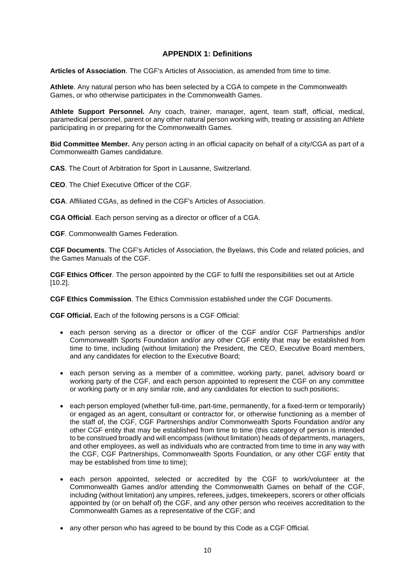# **APPENDIX 1: Definitions**

**Articles of Association**. The CGF's Articles of Association, as amended from time to time.

**Athlete**. Any natural person who has been selected by a CGA to compete in the Commonwealth Games, or who otherwise participates in the Commonwealth Games.

**Athlete Support Personnel.** Any coach, trainer, manager, agent, team staff, official, medical, paramedical personnel, parent or any other natural person working with, treating or assisting an Athlete participating in or preparing for the Commonwealth Games.

**Bid Committee Member.** Any person acting in an official capacity on behalf of a city/CGA as part of a Commonwealth Games candidature.

**CAS**. The Court of Arbitration for Sport in Lausanne, Switzerland.

**CEO**. The Chief Executive Officer of the CGF.

**CGA**. Affiliated CGAs, as defined in the CGF's Articles of Association.

**CGA Official**. Each person serving as a director or officer of a CGA.

**CGF**. Commonwealth Games Federation.

**CGF Documents**. The CGF's Articles of Association, the Byelaws, this Code and related policies, and the Games Manuals of the CGF.

**CGF Ethics Officer**. The person appointed by the CGF to fulfil the responsibilities set out at Article [10.2].

**CGF Ethics Commission**. The Ethics Commission established under the CGF Documents.

**CGF Official.** Each of the following persons is a CGF Official:

- each person serving as a director or officer of the CGF and/or CGF Partnerships and/or Commonwealth Sports Foundation and/or any other CGF entity that may be established from time to time, including (without limitation) the President, the CEO, Executive Board members, and any candidates for election to the Executive Board;
- each person serving as a member of a committee, working party, panel, advisory board or working party of the CGF, and each person appointed to represent the CGF on any committee or working party or in any similar role, and any candidates for election to such positions;
- each person employed (whether full-time, part-time, permanently, for a fixed-term or temporarily) or engaged as an agent, consultant or contractor for, or otherwise functioning as a member of the staff of, the CGF, CGF Partnerships and/or Commonwealth Sports Foundation and/or any other CGF entity that may be established from time to time (this category of person is intended to be construed broadly and will encompass (without limitation) heads of departments, managers, and other employees, as well as individuals who are contracted from time to time in any way with the CGF, CGF Partnerships, Commonwealth Sports Foundation, or any other CGF entity that may be established from time to time);
- each person appointed, selected or accredited by the CGF to work/volunteer at the Commonwealth Games and/or attending the Commonwealth Games on behalf of the CGF, including (without limitation) any umpires, referees, judges, timekeepers, scorers or other officials appointed by (or on behalf of) the CGF, and any other person who receives accreditation to the Commonwealth Games as a representative of the CGF; and
- any other person who has agreed to be bound by this Code as a CGF Official.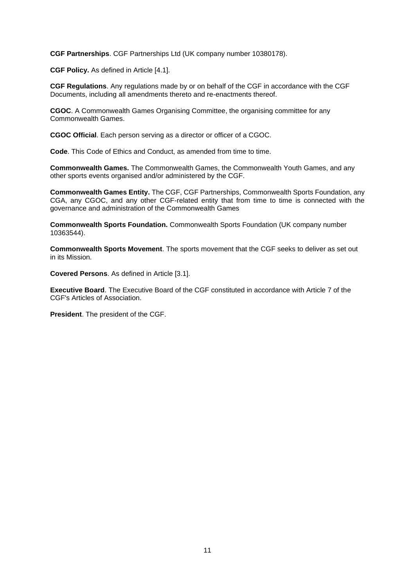**CGF Partnerships**. CGF Partnerships Ltd (UK company number 10380178).

**CGF Policy.** As defined in Article [4.1].

**CGF Regulations**. Any regulations made by or on behalf of the CGF in accordance with the CGF Documents, including all amendments thereto and re-enactments thereof.

**CGOC**. A Commonwealth Games Organising Committee, the organising committee for any Commonwealth Games.

**CGOC Official**. Each person serving as a director or officer of a CGOC.

**Code**. This Code of Ethics and Conduct, as amended from time to time.

**Commonwealth Games.** The Commonwealth Games, the Commonwealth Youth Games, and any other sports events organised and/or administered by the CGF.

**Commonwealth Games Entity.** The CGF, CGF Partnerships, Commonwealth Sports Foundation, any CGA, any CGOC, and any other CGF-related entity that from time to time is connected with the governance and administration of the Commonwealth Games

**Commonwealth Sports Foundation.** Commonwealth Sports Foundation (UK company number 10363544).

**Commonwealth Sports Movement**. The sports movement that the CGF seeks to deliver as set out in its Mission.

**Covered Persons**. As defined in Article [3.1].

**Executive Board**. The Executive Board of the CGF constituted in accordance with Article 7 of the CGF's Articles of Association.

**President**. The president of the CGF.